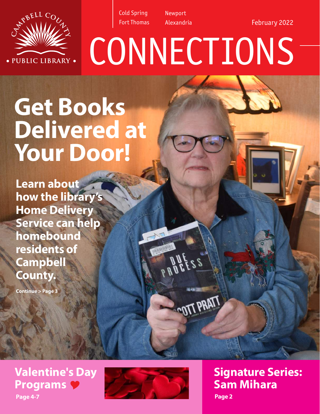

Newport Alexandria

**CONNECTIONS** 

e e s

February 2022



**Learn about how the library's Home Delivery Service can help homebound residents of Campbell County.** 

**Continue > Page 3**

RBELL COC

· PUBLIC LIBRARY ·

**Page 4-7 Valentine's Day Programs** Y



**Signature Series: Sam Mihara Page 2**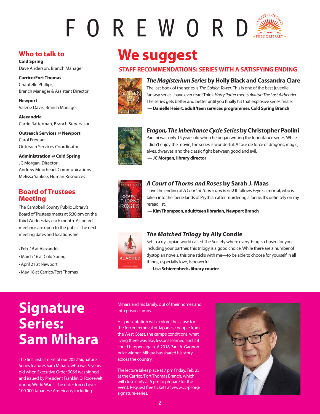# FOREWORD

### **Who to talk to**

**Cold Spring** Dave Anderson, Branch Manager

**Carrico/Fort Thomas** Chantelle Phillips, Branch Manager & Assistant Director

**Newport** Valerie Davis, Branch Manager

**Alexandria** Carrie Ratterman, Branch Supervisor

**Outreach Services @ Newport**  Carol Freytag, Outreach Services Coordinator

**Administration @ Cold Spring** JC Morgan, Director Andrew Moorhead, Communications Melissa Yankee, Human Resources

### **Board of Trustees Meeting**

The Campbell County Public Library's Board of Trustees meets at 5:30 pm on the third Wednesday each month. All board meetings are open to the public. The next meeting dates and locations are:

• Feb. 16 at Alexandria

- March 16 at Cold Spring
- April 21 at Newport
- May 18 at Carrico/Fort Thomas

## **We suggest**

### **STAFF RECOMMENDATIONS: SERIES WITH A SATISFYING ENDING**



*The Magisterium Series* **by Holly Black and Cassandra Clare**

The last book of the series is *The Golden Tower*. This is one of the best juvenile fantasy series I have ever read! Think *Harry Potter* meets *Avatar: The Last Airbender*. The series gets better and better until you finally hit that explosive series finale.  **— Danielle Heiert, adult/teen services programmer, Cold Spring Branch**



### *Eragon, The Inheritance Cycle Series* **by Christopher Paolini**

Paolini was only 15 years old when he began writing the Inheritance series. While I didn't enjoy the movie, the series is wonderful. A tour de force of dragons, magic, elves, dwarves, and the classic fight between good and evil.  **— JC Morgan, library director**



### *A Court of Thorns and Roses* **by Sarah J. Maas**

I love the ending of *A Court of Thorns and Roses*! It follows Feyre, a mortal, who is taken into the faerie lands of Prythian after murdering a faerie. It's definitely on my reread list.

 **— Kim Thompson, adult/teen librarian, Newport Branch**



### *The Matched Trilogy* **by Ally Condie**

Set in a dystopian world called The Society where everything is chosen for you, including your partner, this trilogy is a good choice. While there are a number of dystopian novels, this one sticks with me—to be able to choose for yourself in all things, especially love, is powerful.

 **— Lisa Schierenbeck, library courier**

**Signature Series: Sam Mihara**

The first installment of our 2022 Signature Series features Sam Mihara, who was 9 years old when Executive Order 9066 was signed and issued by President Franklin D. Roosevelt during World War II. The order forced over 100,000 Japanese Americans, including

Mihara and his family, out of their homes and into prison camps.

His presentation will explore the cause for the forced removal of Japanese people from the West Coast, the camp's conditions, what living there was like, lessons learned and if it could happen again. A 2018 Paul A. Gagnon prize winner, Mihara has shared his story across the country.

The lecture takes place at 7 pm Friday, Feb. 25 at the Carrico/Fort Thomas Branch, which will close early at 5 pm to prepare for the event. Request free tickets at www.cc-pl.org/ signature-series.

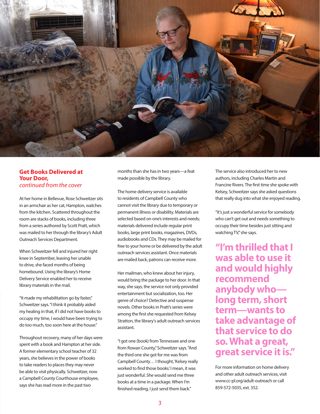

### **Get Books Delivered at Your Door,** *continued from the cover*

At her home in Bellevue, Rose Schweitzer sits in an armchair as her cat, Hampton, watches from the kitchen. Scattered throughout the room are stacks of books, including three from a series authored by Scott Pratt, which was mailed to her through the library's Adult Outreach Services Department.

When Schweitzer fell and injured her right knee in September, leaving her unable to drive, she faced months of being homebound. Using the library's Home Delivery Service enabled her to receive library materials in the mail.

"It made my rehabilitation go by faster," Schweitzer says. "I think it probably aided my healing in that, if I did not have books to occupy my time, I would have been trying to do too much, too soon here at the house."

Throughout recovery, many of her days were spent with a book and Hampton at her side. A former elementary school teacher of 32 years, she believes in the power of books to take readers to places they may never be able to visit physically. Schweitzer, now a Campbell County Courthouse employee, says she has read more in the past two

months than she has in two years—a feat made possible by the library.

The home delivery service is available to residents of Campbell County who cannot visit the library due to temporary or permanent illness or disability. Materials are selected based on one's interests and needs; materials delivered include regular print books, large print books, magazines, DVDs, audiobooks and CDs. They may be mailed for free to your home or be delivered by the adult outreach services assistant. Once materials are mailed back, patrons can receive more.

Her mailman, who knew about her injury, would bring the package to her door. In that way, she says, the service not only provided entertainment but socialization, too. Her genre of choice? Detective and suspense novels. Other books in Pratt's series were among the first she requested from Kelsey Stratton, the library's adult outreach services assistant.

"I got one (book) from Tennessee and one from Rowan County," Schweitzer says. "And the third one she got for me was from Campbell County… I thought, 'Kelsey really worked to find those books.' I mean, it was just wonderful. She would send me three books at a time in a package. When I'm finished reading, I just send them back."

The service also introduced her to new authors, including Charles Martin and Francine Rivers. The first time she spoke with Kelsey, Schweitzer says she asked questions that really dug into what she enjoyed reading.

"It's just a wonderful service for somebody who can't get out and needs something to occupy their time besides just sitting and watching TV," she says.

**"I'm thrilled that I was able to use it and would highly recommend anybody who long term, short term—wants to take advantage of that service to do so. What a great, great service it is."** 

For more information on home delivery and other adult outreach services, visit www.cc-pl.org/adult-outreach or call 859-572-5035, ext. 352.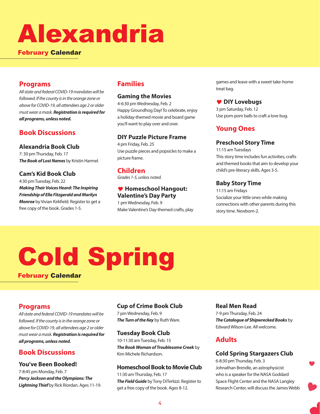# Alexandria

February Calendar

### **Programs**

*All state and federal COVID-19 mandates will be followed. If the county is in the orange zone or above for COVID-19, all attendees age 2 or older must wear a mask. Registration is required for all programs, unless noted.* 

### **Book Discussions**

**Alexandria Book Club** 7: 30 pm Thursday, Feb. 17 *The Book of Lost Names* by Kristin Harmel.

### **Cam's Kid Book Club**

4:30 pm Tuesday, Feb. 22 *Making Their Voices Heard: The Inspiring Friendship of Ella Fitzgerald and Marilyn Monroe* by Vivian Kirkfield. Register to get a free copy of the book. Grades 1-5.

### **Families**

### **Gaming the Movies**

4-6:30 pm Wednesday, Feb. 2 Happy Groundhog Day! To celebrate, enjoy a holiday-themed movie and board game you'll want to play over and over.

### **DIY Puzzle Picture Frame**

4 pm Friday, Feb. 25 Use puzzle pieces and popsicles to make a picture frame.

### **Children**

*Grades 1-5, unless noted.*

### Y **Homeschool Hangout: Valentine's Day Party**

1 pm Wednesday, Feb. 9 Make Valentine's Day-themed crafts, play games and leave with a sweet take-home treat bag.

### Y **DIY Lovebugs**

3 pm Saturday, Feb. 12 Use pom-pom balls to craft a love bug.

### **Young Ones**

### **Preschool Story Time**

11:15 am Tuesdays This story time includes fun activities, crafts and themed books that aim to develop your child's pre-literacy skills. Ages 3-5.

### **Baby Story Time**

11:15 am Fridays Socialize your little ones while making connections with other parents during this story time. Newborn-2.

# Cold Spring

February Calendar

### **Programs**

*All state and federal COVID-19 mandates will be followed. If the county is in the orange zone or above for COVID-19, all attendees age 2 or older must wear a mask. Registration is required for all programs, unless noted.* 

### **Book Discussions**

### **You've Been Booked!**

7-8:45 pm Monday, Feb. 7 *Percy Jackson and the Olympians: The Lightning Thief* by Rick Riordan. Ages 11-19.

### **Cup of Crime Book Club**

7 pm Wednesday, Feb. 9 *The Turn of the Key* by Ruth Ware.

### **Tuesday Book Club**

10-11:30 am Tuesday, Feb. 15 *The Book Woman of Troublesome Creek* by Kim Michele Richardson.

### **Homeschool Book to Movie Club**

11:30 am Thursday, Feb. 17 *The Field Guide* by Tony DiTerlizzi. Register to get a free copy of the book. Ages 8-12.

### **Real Men Read**

7-9 pm Thursday, Feb. 24 *The Catalogue of Shipwrecked Books* by Edward Wilson-Lee. All welcome.

### **Adults**

### **Cold Spring Stargazers Club**

6-8:30 pm Thursday, Feb. 3 Johnathan Brendle, an astrophysicist who is a speaker for the NASA Goddard Space Flight Center and the NASA Langley Research Center, will discuss the James Webb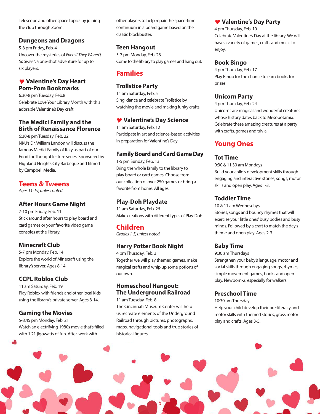Telescope and other space topics by joining the club through Zoom.

### **Dungeons and Dragons**

5-8 pm Friday, Feb. 4 Uncover the mysteries of *Even If They Weren't So Sweet*, a one-shot adventure for up to six players.

### Y **Valentine's Day Heart Pom-Pom Bookmarks**

6:30-8 pm Tuesday, Feb.8 Celebrate Love Your Library Month with this adorable Valentine's Day craft.

### **The Medici Family and the Birth of Renaissance Florence**

6:30-8 pm Tuesday, Feb. 22 NKU's Dr. William Landon will discuss the famous Medici Family of Italy as part of our Food for Thought lecture series. Sponsored by Highland Heights City Barbeque and filmed by Campbell Media.

### **Teens & Tweens**

*Ages 11-19, unless noted.*

### **After Hours Game Night**

7-10 pm Friday, Feb. 11 Stick around after hours to play board and card games or your favorite video game consoles at the library.

### **Minecraft Club**

5-7 pm Monday, Feb. 14 Explore the world of Minecraft using the library's server. Ages 8-14.

### **CCPL Roblox Club**

11 am Saturday, Feb. 19 Play Roblox with friends and other local kids using the library's private server. Ages 8-14.

### **Gaming the Movies**

5-8:45 pm Monday, Feb. 21 Watch an electrifying 1980s movie that's filled with 1.21 jigowatts of fun. After, work with

other players to help repair the space-time continuum in a board game based on the classic blockbuster.

### **Teen Hangout**

5-7 pm Monday, Feb. 28 Come to the library to play games and hang out.

### **Families**

### **Trollstice Party**

11 am Saturday, Feb. 5 Sing, dance and celebrate Trollstice by watching the movie and making funky crafts.

### Y **Valentine's Day Science**

11 am Saturday, Feb. 12 Participate in art and science-based activities in preparation for Valentine's Day!

### **Family Board and Card Game Day**

1-5 pm Sunday, Feb. 13 Bring the whole family to the library to play board or card games. Choose from our collection of over 250 games or bring a favorite from home. All ages.

### **Play-Doh Playdate**

11 am Saturday, Feb. 26 Make creations with different types of Play-Doh.

### **Children**

*Grades 1-5, unless noted.*

### **Harry Potter Book Night**

4 pm Thursday, Feb. 3 Together we will play themed games, make magical crafts and whip up some potions of our own.

### **Homeschool Hangout: The Underground Railroad**

11 am Tuesday, Feb. 8

The Cincinnati Museum Center will help us recreate elements of the Underground Railroad through pictures, photographs, maps, navigational tools and true stories of historical figures.

### Y **Valentine's Day Party**

4 pm Thursday, Feb. 10 Celebrate Valentine's Day at the library. We will have a variety of games, crafts and music to enjoy.

### **Book Bingo**

4 pm Thursday, Feb. 17 Play Bingo for the chance to earn books for prizes.

### **Unicorn Party**

4 pm Thursday, Feb. 24 Unicorns are magical and wonderful creatures whose history dates back to Mesopotamia. Celebrate these amazing creatures at a party with crafts, games and trivia.

### **Young Ones**

### **Tot Time**

9:30 & 11:30 am Mondays Build your child's development skills through engaging and interactive stories, songs, motor skills and open play. Ages 1-3.

### **Toddler Time**

10 & 11 am Wednesdays Stories, songs and bouncy rhymes that will exercise your little ones' busy bodies and busy minds. Followed by a craft to match the day's theme and open play. Ages 2-3.

### **Baby Time**

9:30 am Thursdays

Strengthen your baby's language, motor and social skills through engaging songs, rhymes, simple movement games, books and open play. Newborn-2, especially for walkers.

### **Preschool Time**

10:30 am Thursdays

Help your child develop their pre-literacy and motor skills with themed stories, gross motor play and crafts. Ages 3-5.

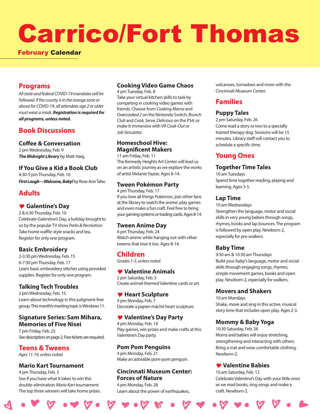# Carrico/Fort Thomas

### February Calendar

### **Programs**

*All state and federal COVID-19 mandates will be followed. If the county is in the orange zone or above for COVID-19, all attendees age 2 or older must wear a mask. Registration is required for all programs, unless noted.* 

### **Book Discussions**

### **Coffee & Conversation**

2 pm Wednesday, Feb. 9 *The Midnight Library* by Matt Haig.

### **If You Give a Kid a Book Club**

4:30-5 pm Thursday, Feb. 10 *First Laugh***—***Welcome, Baby!* by Rose Ann Tahe.

### **Adults**

### Y **Galentine's Day**

2 & 6:30 Thursday, Feb. 10 Celebrate Galentine's Day, a holiday brought to us by the popular TV show *Parks & Recreation*. Take home waffle-style snacks and tea. Register for only one program.

### **Basic Embroidery**

2-3:30 pm Wednesday, Feb. 15 6-7:30 pm Thursday, Feb. 17 Learn basic embroidery stitches using provided supplies. Register for only one program.

### **Talking Tech Troubles**

2 pm Wednesday, Feb. 15 Learn about technology in this judgment-free group. This month's meeting topic is Windows 11.

### **Signature Series: Sam Mihara, Memories of Five Nisei**

7 pm Friday, Feb. 25 See description on page 2. Free tickets are required.

**Teens & Tweens** *Ages 11-19, unless noted.*

### **Mario Kart Tournament**

4 pm Thursday, Feb. 3 See if you have what it takes to win this double-elimination *Mario Kart* tournament. The top three winners will take home prizes.

### **Cooking Video Game Chaos**

4 pm Tuesday, Feb. 8 Take your virtual kitchen skills to task by competing in cooking video games with friends. Choose from *Cooking Mama* and *Overcooked 2* on the Nintendo Switch; *Brunch Club* and *Cook, Serve, Delicious* on the PS4; or make it immersive with VR *Cook-Out* or *Job Simulator*.

### **Homeschool Hive: Magnificent Makers**

11 am Friday, Feb. 11 The Kennedy Heights Art Center will lead us on an artistic journey as we explore the works of artist Melanie Yazzie. Ages 8-14.

### **Tween Pokémon Party**

4 pm Thursday, Feb. 17 If you love all things Pokémon, join other fans at the library to watch the anime, play games and even make a fun craft. Feel free to bring your gaming systems or trading cards. Ages 8-14.

### **Tween Anime Day**

4 pm Thursday, Feb. 24 Watch anime while hanging out with other tweens that love it too. Ages 8-14.

### **Children**

*Grades 1-5, unless noted.*

### Y **Valentine Animals**

2 pm Saturday, Feb. 5 Create animal-themed Valentine cards or art.

### Y **Heart Sculpture**

4 pm Monday, Feb. 7 Decorate a papier-mâché heart sculpture.

### Y **Valentine's Day Party**

4 pm Monday, Feb. 14 Play games, win prizes and make crafts at this Valentine's Day party.

### **Pom Pom Penguins**

4 pm Monday, Feb. 21 Make an adorable pom-pom penguin.

### **Cincinnati Museum Center: Forces of Nature**

4 pm Monday, Feb. 28 Learn about the power of earthquakes, volcanoes, tornadoes and more with the Cincinnati Museum Center.

### **Families**

### **Puppy Tales**

2 pm Saturday, Feb. 26 Come read a story or two to a specially trained therapy dog. Sessions will be 15 minutes. Library staff will contact you to schedule a specific time.

### **Young Ones**

### **Together Time Tales**

10 am Tuesdays Spend time together reading, playing and learning. Ages 3-5.

### **Lap Time**

10 am Wednesdays Strengthen the language, motor and social skills in very young babies through songs, rhymes, books and lap bounces. The program is followed by open play. Newborn-2, especially for pre-walkers.

### **Baby Time**

9:30 am & 10:30 am Thursdays Build your baby's language, motor and social skills through engaging songs, rhymes, simple movement games, books and open play. Newborn-2, especially for walkers.

### **Movers and Shakers**

10 am Mondays Shake, move and sing in this active, musical story time that includes open play. Ages 2-3.

### **Mommy & Baby Yoga**

10:30 Saturday, Feb. 26 Moms and babies will enjoy stretching, strengthening and interacting with others. Bring a mat and wear comfortable clothing. Newborn-2.

### Y **Valentine Babies**

10 am Saturday, Feb. 12 Celebrate Valentine's Day with your little ones as we read books, sing songs and make a craft. Newborn-2.

 $\mathcal{C} \bullet \mathcal{V} \bullet \bullet \mathcal{V} \bullet \bullet \mathcal{V} \bullet \mathcal{V} \bullet \mathcal{V} \bullet \mathcal{V} \bullet \mathcal{V} \bullet \mathcal{V} \bullet \mathcal{V} \bullet \mathcal{V} \bullet \mathcal{V} \bullet \mathcal{V} \bullet \mathcal{V} \bullet \mathcal{V} \bullet \mathcal{V} \bullet \mathcal{V} \bullet \mathcal{V} \bullet \mathcal{V} \bullet \mathcal{V} \bullet \mathcal{V} \bullet \mathcal{V} \bullet \mathcal{V} \bullet \mathcal{V} \bullet \mathcal{V} \bullet \mathcal{V} \bullet \mathcal{V} \bullet$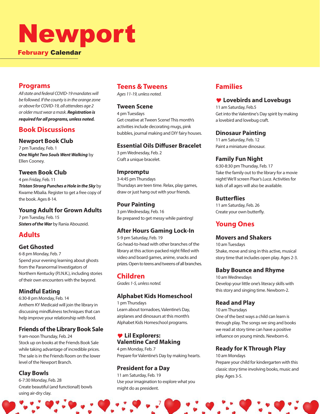# Newport

### February Calendar

### **Programs**

*All state and federal COVID-19 mandates will be followed. If the county is in the orange zone or above for COVID-19, all attendees age 2 or older must wear a mask. Registration is required for all programs, unless noted.* 

### **Book Discussions**

### **Newport Book Club**

7 pm Tuesday, Feb. 1 *One Night Two Souls Went Walking* by Ellen Cooney.

### **Tween Book Club**

4 pm Friday, Feb. 11 *Tristan Strong Punches a Hole in the Sky* by Kwame Mbalia. Register to get a free copy of the book. Ages 8-14.

### **Young Adult for Grown Adults**

7 pm Tuesday, Feb. 15 *Sisters of the War* by Rania Abouzeid.

### **Adults**

### **Get Ghosted**

6-8 pm Monday, Feb. 7 Spend your evening learning about ghosts from the Paranormal Investigators of Northern Kentucky (P.I.N.K.), including stories of their own encounters with the beyond.

### **Mindful Eating**

6:30-8 pm Monday, Feb. 14 Anthem KY Medicaid will join the library in discussing mindfulness techniques that can help improve your relationship with food.

### **Friends of the Library Book Sale**

9 am-noon Thursday, Feb. 24 Stock up on books at the Friends Book Sale while taking advantage of incredible prices. The sale is in the Friends Room on the lower level of the Newport Branch.

### **Clay Bowls**

6-7:30 Monday, Feb. 28 Create beautiful (and functional!) bowls using air-dry clay.

### **Teens & Tweens**

*Ages 11-19, unless noted.*

### **Tween Scene**

4 pm Tuesdays Get creative at Tween Scene! This month's activities include decorating mugs, pink bubbles, journal making and DIY fairy houses.

### **Essential Oils Diffuser Bracelet**

3 pm Wednesday, Feb. 2 Craft a unique bracelet.

### **Impromptu**

3-4:45 pm Thursdays Thursdays are teen time. Relax, play games, draw or just hang out with your friends.

### **Pour Painting**

3 pm Wednesday, Feb. 16 Be prepared to get messy while painting!

### **After Hours Gaming Lock-In**

5-9 pm Saturday, Feb. 19 Go head-to-head with other branches of the library at this action-packed night filled with video and board games, anime, snacks and prizes. Open to teens and tweens of all branches.

### **Children**

*Grades 1-5, unless noted.*

### **Alphabet Kids Homeschool**

1 pm Thursdays Learn about tornadoes, Valentine's Day, airplanes and dinosaurs at this month's Alphabet Kids Homeschool programs.

### Y **Lil Explorers: Valentine Card Making**

4 pm Monday, Feb. 7 Prepare for Valentine's Day by making hearts.

### **President for a Day**

11 am Saturday, Feb. 19 Use your imagination to explore what you might do as president.

7

### **Families**

### Y **Lovebirds and Lovebugs**

11 am Saturday, Feb.5 Get into the Valentine's Day spirit by making a lovebird and lovebug craft.

### **Dinosaur Painting**

11 am Saturday, Feb. 12 Paint a miniature dinosaur.

### **Family Fun Night**

6:30-8:30 pm Thursday, Feb. 17 Take the family out to the library for a movie night! We'll screen Pixar's *Luca*. Activities for kids of all ages will also be available.

### **Butterflies**

11 am Saturday, Feb. 26 Create your own butterfly.

### **Young Ones**

### **Movers and Shakers**

10 am Tuesdays Shake, move and sing in this active, musical story time that includes open play. Ages 2-3.

### **Baby Bounce and Rhyme**

10 am Wednesdays Develop your little one's literacy skills with this story and singing time. Newborn-2.

### **Read and Play**

10 am Thursdays One of the best ways a child can learn is through play. The songs we sing and books we read at story time can have a positive influence on young minds. Newborn-6.

### **Ready for K Through Play**

10 am Mondays

Prepare your child for kindergarten with this classic story time involving books, music and play. Ages 3-5.